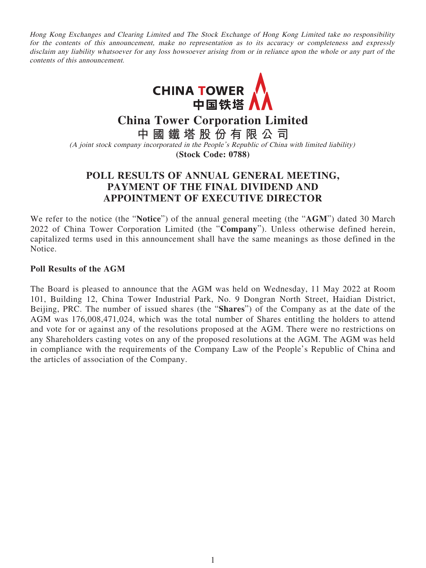Hong Kong Exchanges and Clearing Limited and The Stock Exchange of Hong Kong Limited take no responsibility for the contents of this announcement, make no representation as to its accuracy or completeness and expressly disclaim any liability whatsoever for any loss howsoever arising from or in reliance upon the whole or any part of the contents of this announcement.



**China Tower Corporation Limited**

**中國鐵塔股份有限公司**

(A joint stock company incorporated in the People's Republic of China with limited liability) **(Stock Code: 0788)**

## **POLL RESULTS OF ANNUAL GENERAL MEETING, PAYMENT OF THE FINAL DIVIDEND AND APPOINTMENT OF EXECUTIVE DIRECTOR**

We refer to the notice (the "**Notice**") of the annual general meeting (the "**AGM**") dated 30 March 2022 of China Tower Corporation Limited (the "**Company**"). Unless otherwise defined herein, capitalized terms used in this announcement shall have the same meanings as those defined in the Notice.

## **Poll Results of the AGM**

The Board is pleased to announce that the AGM was held on Wednesday, 11 May 2022 at Room 101, Building 12, China Tower Industrial Park, No. 9 Dongran North Street, Haidian District, Beijing, PRC. The number of issued shares (the "**Shares**") of the Company as at the date of the AGM was 176,008,471,024, which was the total number of Shares entitling the holders to attend and vote for or against any of the resolutions proposed at the AGM. There were no restrictions on any Shareholders casting votes on any of the proposed resolutions at the AGM. The AGM was held in compliance with the requirements of the Company Law of the People's Republic of China and the articles of association of the Company.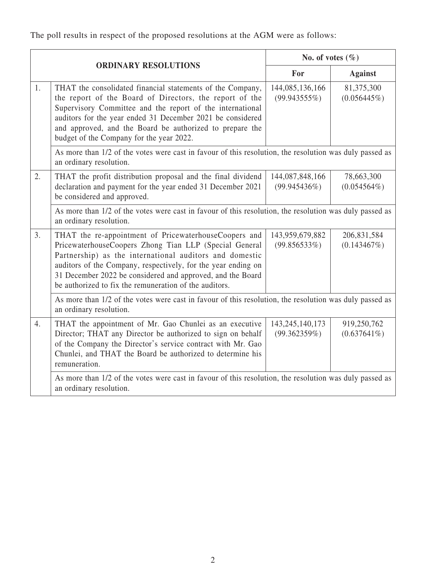The poll results in respect of the proposed resolutions at the AGM were as follows:

|    |                                                                                                                                                                                                                                                                                                                                                                     | No. of votes $(\% )$               |                               |  |  |  |
|----|---------------------------------------------------------------------------------------------------------------------------------------------------------------------------------------------------------------------------------------------------------------------------------------------------------------------------------------------------------------------|------------------------------------|-------------------------------|--|--|--|
|    | <b>ORDINARY RESOLUTIONS</b>                                                                                                                                                                                                                                                                                                                                         | For                                | <b>Against</b>                |  |  |  |
| 1. | THAT the consolidated financial statements of the Company,<br>the report of the Board of Directors, the report of the<br>Supervisory Committee and the report of the international<br>auditors for the year ended 31 December 2021 be considered<br>and approved, and the Board be authorized to prepare the<br>budget of the Company for the year 2022.            | 144,085,136,166<br>$(99.943555\%)$ | 81,375,300<br>$(0.056445\%)$  |  |  |  |
|    | As more than 1/2 of the votes were cast in favour of this resolution, the resolution was duly passed as                                                                                                                                                                                                                                                             |                                    |                               |  |  |  |
| 2. | THAT the profit distribution proposal and the final dividend<br>declaration and payment for the year ended 31 December 2021<br>be considered and approved.                                                                                                                                                                                                          | 144,087,848,166<br>(99.945436%)    | 78,663,300<br>$(0.054564\%)$  |  |  |  |
|    | As more than 1/2 of the votes were cast in favour of this resolution, the resolution was duly passed as<br>an ordinary resolution.                                                                                                                                                                                                                                  |                                    |                               |  |  |  |
| 3. | THAT the re-appointment of PricewaterhouseCoopers and<br>PricewaterhouseCoopers Zhong Tian LLP (Special General<br>Partnership) as the international auditors and domestic<br>auditors of the Company, respectively, for the year ending on<br>31 December 2022 be considered and approved, and the Board<br>be authorized to fix the remuneration of the auditors. | 143,959,679,882<br>(99.856533%)    | 206,831,584<br>(0.143467%)    |  |  |  |
|    | As more than 1/2 of the votes were cast in favour of this resolution, the resolution was duly passed as<br>an ordinary resolution.                                                                                                                                                                                                                                  |                                    |                               |  |  |  |
| 4. | THAT the appointment of Mr. Gao Chunlei as an executive<br>Director; THAT any Director be authorized to sign on behalf<br>of the Company the Director's service contract with Mr. Gao<br>Chunlei, and THAT the Board be authorized to determine his<br>remuneration.                                                                                                | 143, 245, 140, 173<br>(99.362359%) | 919,250,762<br>$(0.637641\%)$ |  |  |  |
|    | As more than 1/2 of the votes were cast in favour of this resolution, the resolution was duly passed as<br>an ordinary resolution.                                                                                                                                                                                                                                  |                                    |                               |  |  |  |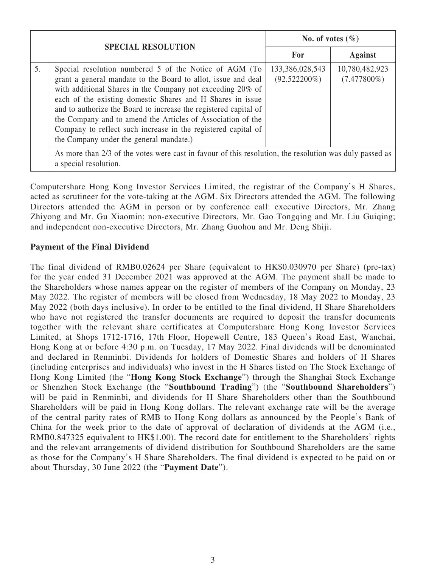| <b>SPECIAL RESOLUTION</b> |                                                                                                                                                                                                                                                                                                                                                                                                                                                                                                    | No. of votes $(\% )$               |                                  |  |  |  |
|---------------------------|----------------------------------------------------------------------------------------------------------------------------------------------------------------------------------------------------------------------------------------------------------------------------------------------------------------------------------------------------------------------------------------------------------------------------------------------------------------------------------------------------|------------------------------------|----------------------------------|--|--|--|
|                           |                                                                                                                                                                                                                                                                                                                                                                                                                                                                                                    | For                                | <b>Against</b>                   |  |  |  |
| 5.                        | Special resolution numbered 5 of the Notice of AGM (To<br>grant a general mandate to the Board to allot, issue and deal<br>with additional Shares in the Company not exceeding 20% of<br>each of the existing domestic Shares and H Shares in issue<br>and to authorize the Board to increase the registered capital of<br>the Company and to amend the Articles of Association of the<br>Company to reflect such increase in the registered capital of<br>the Company under the general mandate.) | 133,386,028,543<br>$(92.522200\%)$ | 10,780,482,923<br>$(7.477800\%)$ |  |  |  |
|                           | As more than 2/3 of the votes were cast in favour of this resolution, the resolution was duly passed as<br>a special resolution.                                                                                                                                                                                                                                                                                                                                                                   |                                    |                                  |  |  |  |

Computershare Hong Kong Investor Services Limited, the registrar of the Company's H Shares, acted as scrutineer for the vote-taking at the AGM. Six Directors attended the AGM. The following Directors attended the AGM in person or by conference call: executive Directors, Mr. Zhang Zhiyong and Mr. Gu Xiaomin; non-executive Directors, Mr. Gao Tongqing and Mr. Liu Guiqing; and independent non-executive Directors, Mr. Zhang Guohou and Mr. Deng Shiji.

## **Payment of the Final Dividend**

The final dividend of RMB0.02624 per Share (equivalent to HK\$0.030970 per Share) (pre-tax) for the year ended 31 December 2021 was approved at the AGM. The payment shall be made to the Shareholders whose names appear on the register of members of the Company on Monday, 23 May 2022. The register of members will be closed from Wednesday, 18 May 2022 to Monday, 23 May 2022 (both days inclusive). In order to be entitled to the final dividend, H Share Shareholders who have not registered the transfer documents are required to deposit the transfer documents together with the relevant share certificates at Computershare Hong Kong Investor Services Limited, at Shops 1712-1716, 17th Floor, Hopewell Centre, 183 Queen's Road East, Wanchai, Hong Kong at or before 4:30 p.m. on Tuesday, 17 May 2022. Final dividends will be denominated and declared in Renminbi. Dividends for holders of Domestic Shares and holders of H Shares (including enterprises and individuals) who invest in the H Shares listed on The Stock Exchange of Hong Kong Limited (the "**Hong Kong Stock Exchange**") through the Shanghai Stock Exchange or Shenzhen Stock Exchange (the "**Southbound Trading**") (the "**Southbound Shareholders**") will be paid in Renminbi, and dividends for H Share Shareholders other than the Southbound Shareholders will be paid in Hong Kong dollars. The relevant exchange rate will be the average of the central parity rates of RMB to Hong Kong dollars as announced by the People's Bank of China for the week prior to the date of approval of declaration of dividends at the AGM (i.e., RMB0.847325 equivalent to HK\$1.00). The record date for entitlement to the Shareholders' rights and the relevant arrangements of dividend distribution for Southbound Shareholders are the same as those for the Company's H Share Shareholders. The final dividend is expected to be paid on or about Thursday, 30 June 2022 (the "**Payment Date**").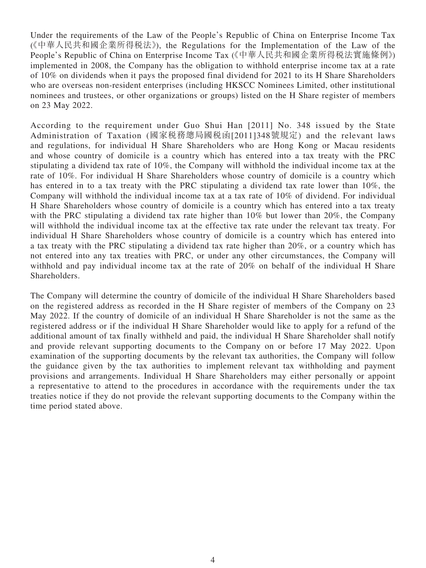Under the requirements of the Law of the People's Republic of China on Enterprise Income Tax (《中華人民共和國企業所得税法》), the Regulations for the Implementation of the Law of the People's Republic of China on Enterprise Income Tax (《中華人民共和國企業所得稅法實施條例》) implemented in 2008, the Company has the obligation to withhold enterprise income tax at a rate of 10% on dividends when it pays the proposed final dividend for 2021 to its H Share Shareholders who are overseas non-resident enterprises (including HKSCC Nominees Limited, other institutional nominees and trustees, or other organizations or groups) listed on the H Share register of members on 23 May 2022.

According to the requirement under Guo Shui Han [2011] No. 348 issued by the State Administration of Taxation (國家稅務總局國稅函[2011]348號規定) and the relevant laws and regulations, for individual H Share Shareholders who are Hong Kong or Macau residents and whose country of domicile is a country which has entered into a tax treaty with the PRC stipulating a dividend tax rate of 10%, the Company will withhold the individual income tax at the rate of 10%. For individual H Share Shareholders whose country of domicile is a country which has entered in to a tax treaty with the PRC stipulating a dividend tax rate lower than 10%, the Company will withhold the individual income tax at a tax rate of 10% of dividend. For individual H Share Shareholders whose country of domicile is a country which has entered into a tax treaty with the PRC stipulating a dividend tax rate higher than 10% but lower than 20%, the Company will withhold the individual income tax at the effective tax rate under the relevant tax treaty. For individual H Share Shareholders whose country of domicile is a country which has entered into a tax treaty with the PRC stipulating a dividend tax rate higher than 20%, or a country which has not entered into any tax treaties with PRC, or under any other circumstances, the Company will withhold and pay individual income tax at the rate of 20% on behalf of the individual H Share Shareholders.

The Company will determine the country of domicile of the individual H Share Shareholders based on the registered address as recorded in the H Share register of members of the Company on 23 May 2022. If the country of domicile of an individual H Share Shareholder is not the same as the registered address or if the individual H Share Shareholder would like to apply for a refund of the additional amount of tax finally withheld and paid, the individual H Share Shareholder shall notify and provide relevant supporting documents to the Company on or before 17 May 2022. Upon examination of the supporting documents by the relevant tax authorities, the Company will follow the guidance given by the tax authorities to implement relevant tax withholding and payment provisions and arrangements. Individual H Share Shareholders may either personally or appoint a representative to attend to the procedures in accordance with the requirements under the tax treaties notice if they do not provide the relevant supporting documents to the Company within the time period stated above.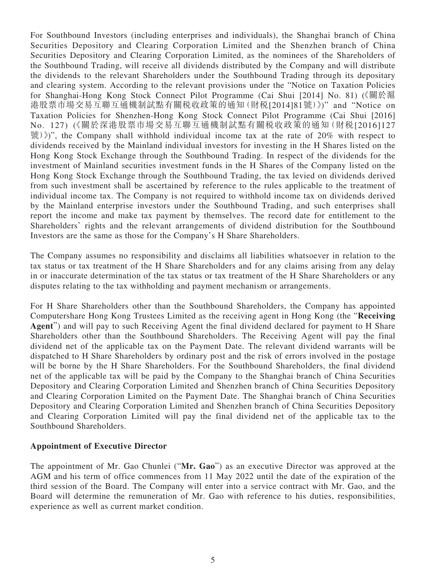For Southbound Investors (including enterprises and individuals), the Shanghai branch of China Securities Depository and Clearing Corporation Limited and the Shenzhen branch of China Securities Depository and Clearing Corporation Limited, as the nominees of the Shareholders of the Southbound Trading, will receive all dividends distributed by the Company and will distribute the dividends to the relevant Shareholders under the Southbound Trading through its depositary and clearing system. According to the relevant provisions under the "Notice on Taxation Policies for Shanghai-Hong Kong Stock Connect Pilot Programme (Cai Shui [2014] No. 81) (《關於滬 港股票市場交易互聯互通機制試點有關稅收政策的通知(財稅[2014]81號)》)" and "Notice on Taxation Policies for Shenzhen-Hong Kong Stock Connect Pilot Programme (Cai Shui [2016] No. 127) (《關於深港股票市場交易互聯互通機制試點有關稅收政策的通知(財稅[2016]127  $\mathcal{R}(\mathcal{X})$ )", the Company shall withhold individual income tax at the rate of 20% with respect to dividends received by the Mainland individual investors for investing in the H Shares listed on the Hong Kong Stock Exchange through the Southbound Trading. In respect of the dividends for the investment of Mainland securities investment funds in the H Shares of the Company listed on the Hong Kong Stock Exchange through the Southbound Trading, the tax levied on dividends derived from such investment shall be ascertained by reference to the rules applicable to the treatment of individual income tax. The Company is not required to withhold income tax on dividends derived by the Mainland enterprise investors under the Southbound Trading, and such enterprises shall report the income and make tax payment by themselves. The record date for entitlement to the Shareholders' rights and the relevant arrangements of dividend distribution for the Southbound Investors are the same as those for the Company's H Share Shareholders.

The Company assumes no responsibility and disclaims all liabilities whatsoever in relation to the tax status or tax treatment of the H Share Shareholders and for any claims arising from any delay in or inaccurate determination of the tax status or tax treatment of the H Share Shareholders or any disputes relating to the tax withholding and payment mechanism or arrangements.

For H Share Shareholders other than the Southbound Shareholders, the Company has appointed Computershare Hong Kong Trustees Limited as the receiving agent in Hong Kong (the "**Receiving Agent**") and will pay to such Receiving Agent the final dividend declared for payment to H Share Shareholders other than the Southbound Shareholders. The Receiving Agent will pay the final dividend net of the applicable tax on the Payment Date. The relevant dividend warrants will be dispatched to H Share Shareholders by ordinary post and the risk of errors involved in the postage will be borne by the H Share Shareholders. For the Southbound Shareholders, the final dividend net of the applicable tax will be paid by the Company to the Shanghai branch of China Securities Depository and Clearing Corporation Limited and Shenzhen branch of China Securities Depository and Clearing Corporation Limited on the Payment Date. The Shanghai branch of China Securities Depository and Clearing Corporation Limited and Shenzhen branch of China Securities Depository and Clearing Corporation Limited will pay the final dividend net of the applicable tax to the Southbound Shareholders.

## **Appointment of Executive Director**

The appointment of Mr. Gao Chunlei ("**Mr. Gao**") as an executive Director was approved at the AGM and his term of office commences from 11 May 2022 until the date of the expiration of the third session of the Board. The Company will enter into a service contract with Mr. Gao, and the Board will determine the remuneration of Mr. Gao with reference to his duties, responsibilities, experience as well as current market condition.